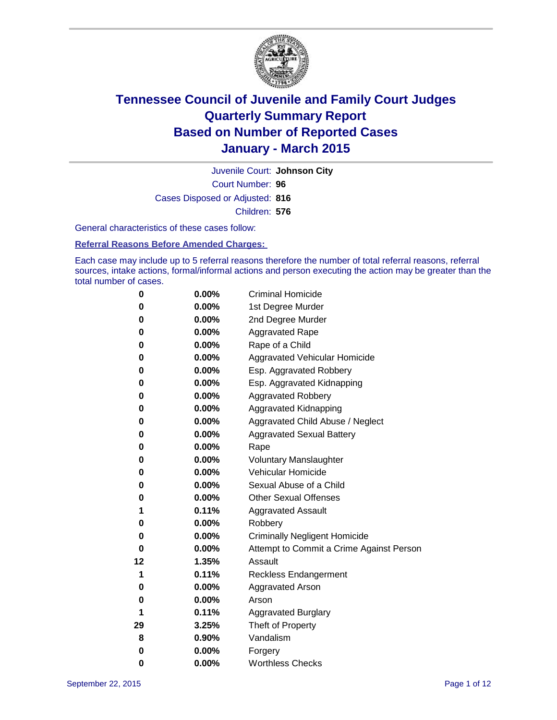

Court Number: **96** Juvenile Court: **Johnson City** Cases Disposed or Adjusted: **816** Children: **576**

General characteristics of these cases follow:

#### **Referral Reasons Before Amended Charges:**

Each case may include up to 5 referral reasons therefore the number of total referral reasons, referral sources, intake actions, formal/informal actions and person executing the action may be greater than the total number of cases.

| 0  | $0.00\%$ | <b>Criminal Homicide</b>                 |  |  |  |  |
|----|----------|------------------------------------------|--|--|--|--|
| 0  | 0.00%    | 1st Degree Murder                        |  |  |  |  |
| 0  | 0.00%    | 2nd Degree Murder                        |  |  |  |  |
| 0  | $0.00\%$ | <b>Aggravated Rape</b>                   |  |  |  |  |
| 0  | $0.00\%$ | Rape of a Child                          |  |  |  |  |
| 0  | 0.00%    | Aggravated Vehicular Homicide            |  |  |  |  |
| 0  | 0.00%    | Esp. Aggravated Robbery                  |  |  |  |  |
| 0  | $0.00\%$ | Esp. Aggravated Kidnapping               |  |  |  |  |
| 0  | 0.00%    | <b>Aggravated Robbery</b>                |  |  |  |  |
| 0  | 0.00%    | <b>Aggravated Kidnapping</b>             |  |  |  |  |
| 0  | 0.00%    | Aggravated Child Abuse / Neglect         |  |  |  |  |
| 0  | 0.00%    | <b>Aggravated Sexual Battery</b>         |  |  |  |  |
| 0  | 0.00%    | Rape                                     |  |  |  |  |
| 0  | $0.00\%$ | <b>Voluntary Manslaughter</b>            |  |  |  |  |
| 0  | $0.00\%$ | <b>Vehicular Homicide</b>                |  |  |  |  |
| 0  | 0.00%    | Sexual Abuse of a Child                  |  |  |  |  |
| 0  | 0.00%    | <b>Other Sexual Offenses</b>             |  |  |  |  |
| 1  | 0.11%    | <b>Aggravated Assault</b>                |  |  |  |  |
| 0  | 0.00%    | Robbery                                  |  |  |  |  |
| 0  | 0.00%    | <b>Criminally Negligent Homicide</b>     |  |  |  |  |
| 0  | 0.00%    | Attempt to Commit a Crime Against Person |  |  |  |  |
| 12 | 1.35%    | Assault                                  |  |  |  |  |
| 1  | 0.11%    | <b>Reckless Endangerment</b>             |  |  |  |  |
| 0  | $0.00\%$ | <b>Aggravated Arson</b>                  |  |  |  |  |
| 0  | 0.00%    | Arson                                    |  |  |  |  |
| 1  | 0.11%    | <b>Aggravated Burglary</b>               |  |  |  |  |
| 29 | 3.25%    | Theft of Property                        |  |  |  |  |
| 8  | 0.90%    | Vandalism                                |  |  |  |  |
| 0  | 0.00%    | Forgery                                  |  |  |  |  |
| 0  | 0.00%    | <b>Worthless Checks</b>                  |  |  |  |  |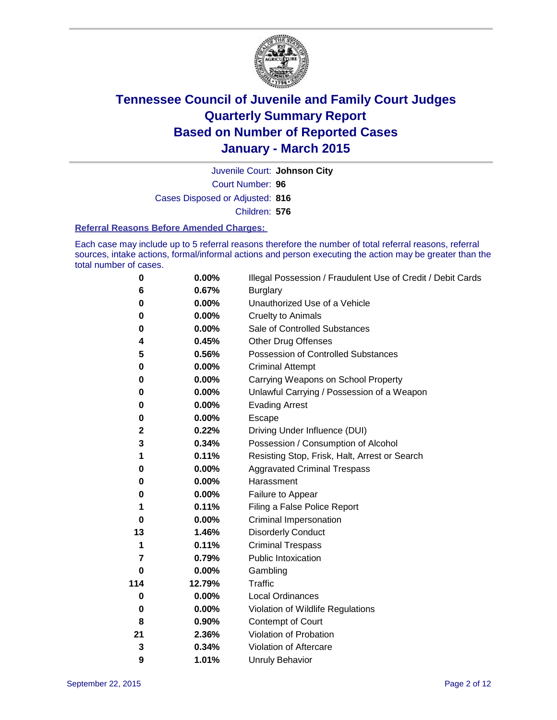

Court Number: **96** Juvenile Court: **Johnson City** Cases Disposed or Adjusted: **816** Children: **576**

#### **Referral Reasons Before Amended Charges:**

Each case may include up to 5 referral reasons therefore the number of total referral reasons, referral sources, intake actions, formal/informal actions and person executing the action may be greater than the total number of cases.

| 0           | 0.00%    | Illegal Possession / Fraudulent Use of Credit / Debit Cards |
|-------------|----------|-------------------------------------------------------------|
| 6           | 0.67%    | <b>Burglary</b>                                             |
| 0           | 0.00%    | Unauthorized Use of a Vehicle                               |
| 0           | 0.00%    | <b>Cruelty to Animals</b>                                   |
| 0           | 0.00%    | Sale of Controlled Substances                               |
| 4           | 0.45%    | <b>Other Drug Offenses</b>                                  |
| 5           | 0.56%    | Possession of Controlled Substances                         |
| 0           | 0.00%    | <b>Criminal Attempt</b>                                     |
| 0           | 0.00%    | Carrying Weapons on School Property                         |
| 0           | 0.00%    | Unlawful Carrying / Possession of a Weapon                  |
| $\pmb{0}$   | 0.00%    | <b>Evading Arrest</b>                                       |
| 0           | 0.00%    | Escape                                                      |
| $\mathbf 2$ | 0.22%    | Driving Under Influence (DUI)                               |
| 3           | 0.34%    | Possession / Consumption of Alcohol                         |
| 1           | 0.11%    | Resisting Stop, Frisk, Halt, Arrest or Search               |
| 0           | 0.00%    | <b>Aggravated Criminal Trespass</b>                         |
| 0           | 0.00%    | Harassment                                                  |
| 0           | 0.00%    | Failure to Appear                                           |
| 1           | 0.11%    | Filing a False Police Report                                |
| $\bf{0}$    | 0.00%    | Criminal Impersonation                                      |
| 13          | 1.46%    | <b>Disorderly Conduct</b>                                   |
| 1           | 0.11%    | <b>Criminal Trespass</b>                                    |
| 7           | 0.79%    | <b>Public Intoxication</b>                                  |
| 0           | 0.00%    | Gambling                                                    |
| 114         | 12.79%   | <b>Traffic</b>                                              |
| 0           | 0.00%    | Local Ordinances                                            |
| $\mathbf 0$ | $0.00\%$ | Violation of Wildlife Regulations                           |
| 8           | 0.90%    | Contempt of Court                                           |
| 21          | 2.36%    | Violation of Probation                                      |
| 3           | 0.34%    | Violation of Aftercare                                      |
| 9           | 1.01%    | <b>Unruly Behavior</b>                                      |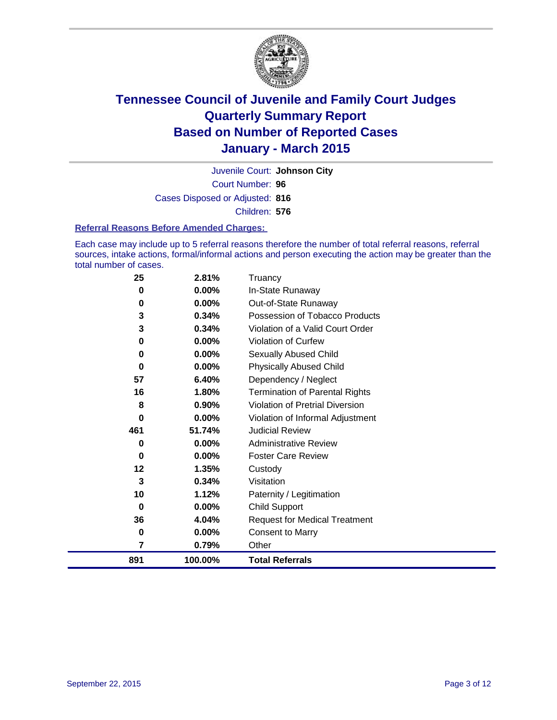

Court Number: **96** Juvenile Court: **Johnson City** Cases Disposed or Adjusted: **816** Children: **576**

#### **Referral Reasons Before Amended Charges:**

Each case may include up to 5 referral reasons therefore the number of total referral reasons, referral sources, intake actions, formal/informal actions and person executing the action may be greater than the total number of cases.

| 25       | 2.81%    | Truancy                                |
|----------|----------|----------------------------------------|
| 0        | 0.00%    | In-State Runaway                       |
| 0        | $0.00\%$ | Out-of-State Runaway                   |
| 3        | 0.34%    | Possession of Tobacco Products         |
| 3        | 0.34%    | Violation of a Valid Court Order       |
| 0        | 0.00%    | <b>Violation of Curfew</b>             |
| 0        | 0.00%    | <b>Sexually Abused Child</b>           |
| 0        | 0.00%    | <b>Physically Abused Child</b>         |
| 57       | 6.40%    | Dependency / Neglect                   |
| 16       | 1.80%    | <b>Termination of Parental Rights</b>  |
| 8        | 0.90%    | <b>Violation of Pretrial Diversion</b> |
| 0        | 0.00%    | Violation of Informal Adjustment       |
| 461      | 51.74%   | <b>Judicial Review</b>                 |
| 0        | $0.00\%$ | <b>Administrative Review</b>           |
| $\bf{0}$ | 0.00%    | <b>Foster Care Review</b>              |
| 12       | 1.35%    | Custody                                |
| 3        | 0.34%    | Visitation                             |
| 10       | 1.12%    | Paternity / Legitimation               |
| 0        | 0.00%    | Child Support                          |
| 36       | 4.04%    | <b>Request for Medical Treatment</b>   |
| 0        | 0.00%    | <b>Consent to Marry</b>                |
| 7        | 0.79%    | Other                                  |
| 891      | 100.00%  | <b>Total Referrals</b>                 |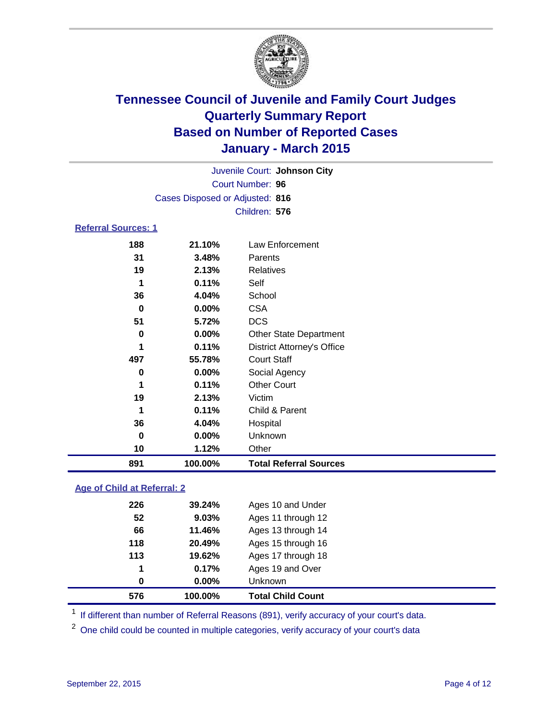

| Juvenile Court: Johnson City    |  |
|---------------------------------|--|
| Court Number: 96                |  |
| Cases Disposed or Adjusted: 816 |  |
| Children: 576                   |  |

### **Referral Sources: 1**

| 891 | 100.00%  | <b>Total Referral Sources</b>     |
|-----|----------|-----------------------------------|
| 10  | 1.12%    | Other                             |
| 0   | $0.00\%$ | Unknown                           |
| 36  | 4.04%    | Hospital                          |
| 1   | 0.11%    | Child & Parent                    |
| 19  | 2.13%    | Victim                            |
|     | 0.11%    | <b>Other Court</b>                |
| 0   | $0.00\%$ | Social Agency                     |
| 497 | 55.78%   | <b>Court Staff</b>                |
| 1   | 0.11%    | <b>District Attorney's Office</b> |
| 0   | $0.00\%$ | <b>Other State Department</b>     |
| 51  | 5.72%    | <b>DCS</b>                        |
| 0   | $0.00\%$ | <b>CSA</b>                        |
| 36  | 4.04%    | School                            |
| 1   | 0.11%    | Self                              |
| 19  | 2.13%    | Relatives                         |
| 31  | 3.48%    | Parents                           |
| 188 | 21.10%   | Law Enforcement                   |

### **Age of Child at Referral: 2**

| 576 | 100.00%  | <b>Total Child Count</b> |  |
|-----|----------|--------------------------|--|
| 0   | $0.00\%$ | <b>Unknown</b>           |  |
| 1   | 0.17%    | Ages 19 and Over         |  |
| 113 | 19.62%   | Ages 17 through 18       |  |
| 118 | 20.49%   | Ages 15 through 16       |  |
| 66  | 11.46%   | Ages 13 through 14       |  |
| 52  | 9.03%    | Ages 11 through 12       |  |
| 226 | 39.24%   | Ages 10 and Under        |  |

<sup>1</sup> If different than number of Referral Reasons (891), verify accuracy of your court's data.

One child could be counted in multiple categories, verify accuracy of your court's data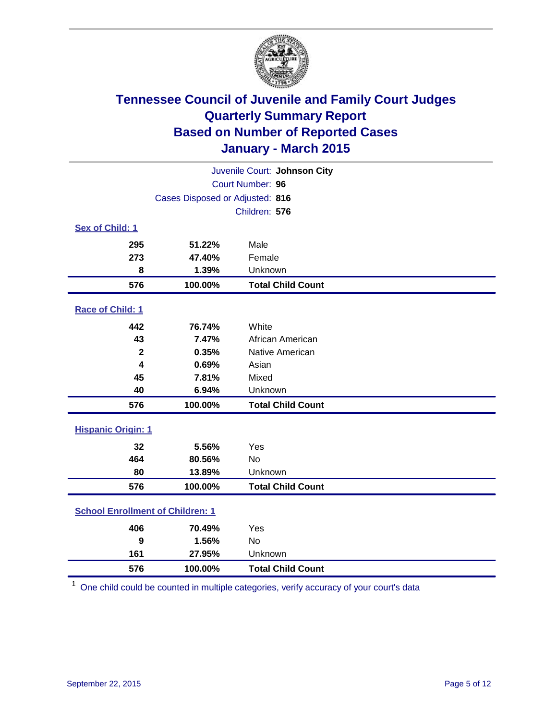

| Juvenile Court: Johnson City            |                                 |                          |  |  |
|-----------------------------------------|---------------------------------|--------------------------|--|--|
|                                         | Court Number: 96                |                          |  |  |
|                                         | Cases Disposed or Adjusted: 816 |                          |  |  |
|                                         | Children: 576                   |                          |  |  |
| Sex of Child: 1                         |                                 |                          |  |  |
| 295                                     | 51.22%                          | Male                     |  |  |
| 273                                     | 47.40%                          | Female                   |  |  |
| 8                                       | 1.39%                           | Unknown                  |  |  |
| 576                                     | 100.00%                         | <b>Total Child Count</b> |  |  |
| Race of Child: 1                        |                                 |                          |  |  |
| 442                                     | 76.74%                          | White                    |  |  |
| 43                                      | 7.47%                           | African American         |  |  |
| $\mathbf{2}$                            | 0.35%                           | Native American          |  |  |
| 4                                       | 0.69%                           | Asian                    |  |  |
| 45                                      | 7.81%                           | Mixed                    |  |  |
| 40                                      | 6.94%                           | Unknown                  |  |  |
| 576                                     | 100.00%                         | <b>Total Child Count</b> |  |  |
| <b>Hispanic Origin: 1</b>               |                                 |                          |  |  |
| 32                                      | 5.56%                           | Yes                      |  |  |
| 464                                     | 80.56%                          | <b>No</b>                |  |  |
| 80                                      | 13.89%                          | Unknown                  |  |  |
| 576                                     | 100.00%                         | <b>Total Child Count</b> |  |  |
| <b>School Enrollment of Children: 1</b> |                                 |                          |  |  |
| 406                                     | 70.49%                          | Yes                      |  |  |
| 9                                       | 1.56%                           | <b>No</b>                |  |  |
| 161                                     | 27.95%                          | Unknown                  |  |  |
| 576                                     | 100.00%                         | <b>Total Child Count</b> |  |  |

One child could be counted in multiple categories, verify accuracy of your court's data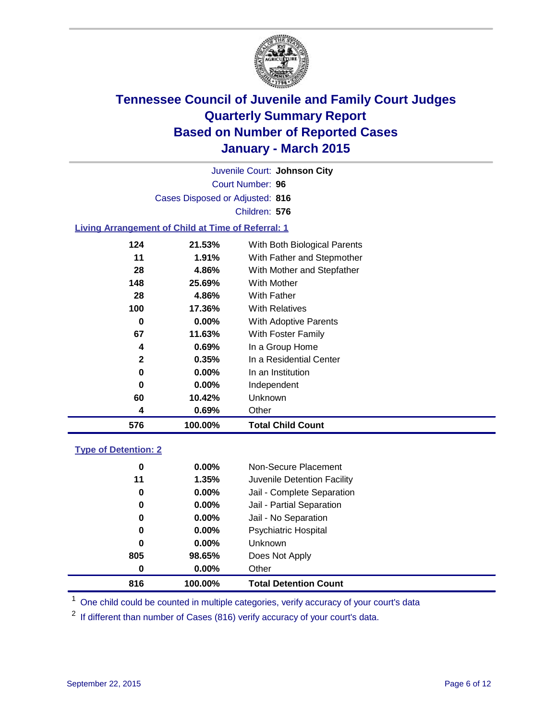

Court Number: **96** Juvenile Court: **Johnson City** Cases Disposed or Adjusted: **816** Children: **576**

### **Living Arrangement of Child at Time of Referral: 1**

| 576 | 100.00%  | <b>Total Child Count</b>     |
|-----|----------|------------------------------|
| 4   | 0.69%    | Other                        |
| 60  | 10.42%   | Unknown                      |
| 0   | $0.00\%$ | Independent                  |
| 0   | $0.00\%$ | In an Institution            |
| 2   | 0.35%    | In a Residential Center      |
| 4   | 0.69%    | In a Group Home              |
| 67  | 11.63%   | With Foster Family           |
| 0   | $0.00\%$ | With Adoptive Parents        |
| 100 | 17.36%   | <b>With Relatives</b>        |
| 28  | 4.86%    | With Father                  |
| 148 | 25.69%   | <b>With Mother</b>           |
| 28  | 4.86%    | With Mother and Stepfather   |
| 11  | 1.91%    | With Father and Stepmother   |
| 124 | 21.53%   | With Both Biological Parents |
|     |          |                              |

### **Type of Detention: 2**

| 0   | 0.00%    | Non-Secure Placement         |  |
|-----|----------|------------------------------|--|
| 11  | 1.35%    | Juvenile Detention Facility  |  |
| 0   | $0.00\%$ | Jail - Complete Separation   |  |
| 0   | $0.00\%$ | Jail - Partial Separation    |  |
| 0   | $0.00\%$ | Jail - No Separation         |  |
| 0   | $0.00\%$ | <b>Psychiatric Hospital</b>  |  |
| 0   | $0.00\%$ | <b>Unknown</b>               |  |
| 805 | 98.65%   | Does Not Apply               |  |
| 0   | $0.00\%$ | Other                        |  |
| 816 | 100.00%  | <b>Total Detention Count</b> |  |

<sup>1</sup> One child could be counted in multiple categories, verify accuracy of your court's data

If different than number of Cases (816) verify accuracy of your court's data.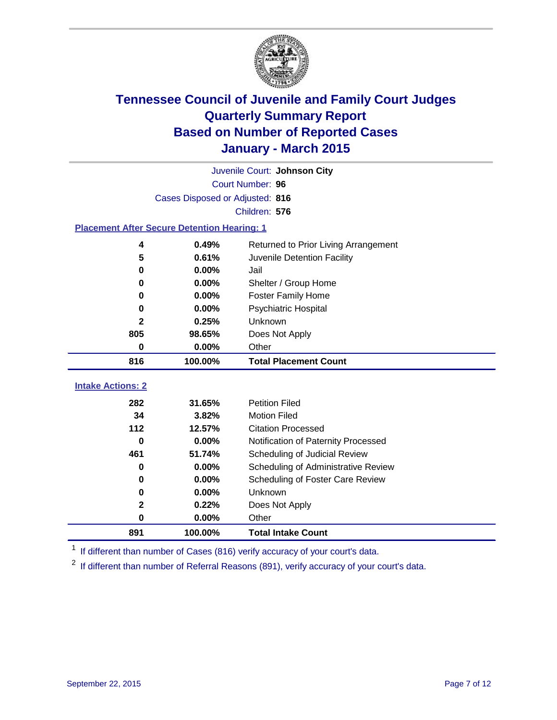

|                                                    | Juvenile Court: Johnson City    |                                      |  |  |  |
|----------------------------------------------------|---------------------------------|--------------------------------------|--|--|--|
|                                                    | Court Number: 96                |                                      |  |  |  |
|                                                    | Cases Disposed or Adjusted: 816 |                                      |  |  |  |
|                                                    |                                 | Children: 576                        |  |  |  |
| <b>Placement After Secure Detention Hearing: 1</b> |                                 |                                      |  |  |  |
| 4                                                  | 0.49%                           | Returned to Prior Living Arrangement |  |  |  |
| 5                                                  | 0.61%                           | Juvenile Detention Facility          |  |  |  |
| 0                                                  | 0.00%                           | Jail                                 |  |  |  |
| 0                                                  | 0.00%                           | Shelter / Group Home                 |  |  |  |
| 0                                                  | 0.00%                           | <b>Foster Family Home</b>            |  |  |  |
| 0                                                  | 0.00%                           | <b>Psychiatric Hospital</b>          |  |  |  |
| 2                                                  | 0.25%                           | Unknown                              |  |  |  |
| 805                                                | 98.65%                          | Does Not Apply                       |  |  |  |
| 0                                                  | 0.00%                           | Other                                |  |  |  |
| 816                                                | 100.00%                         | <b>Total Placement Count</b>         |  |  |  |
|                                                    |                                 |                                      |  |  |  |
| <b>Intake Actions: 2</b>                           |                                 |                                      |  |  |  |
| 282                                                | 31.65%                          | <b>Petition Filed</b>                |  |  |  |
| 34                                                 | 3.82%                           | <b>Motion Filed</b>                  |  |  |  |
| 112                                                | 12.57%                          | <b>Citation Processed</b>            |  |  |  |
| $\bf{0}$                                           | 0.00%                           | Notification of Paternity Processed  |  |  |  |
| 461                                                | 51.74%                          | Scheduling of Judicial Review        |  |  |  |
| 0                                                  | 0.00%                           | Scheduling of Administrative Review  |  |  |  |
| 0                                                  | 0.00%                           | Scheduling of Foster Care Review     |  |  |  |
| 0                                                  | 0.00%                           | <b>Unknown</b>                       |  |  |  |
| $\mathbf 2$                                        | 0.22%                           | Does Not Apply                       |  |  |  |
| 0                                                  | 0.00%                           | Other                                |  |  |  |
| 891                                                | 100.00%                         | <b>Total Intake Count</b>            |  |  |  |

<sup>1</sup> If different than number of Cases (816) verify accuracy of your court's data.

<sup>2</sup> If different than number of Referral Reasons (891), verify accuracy of your court's data.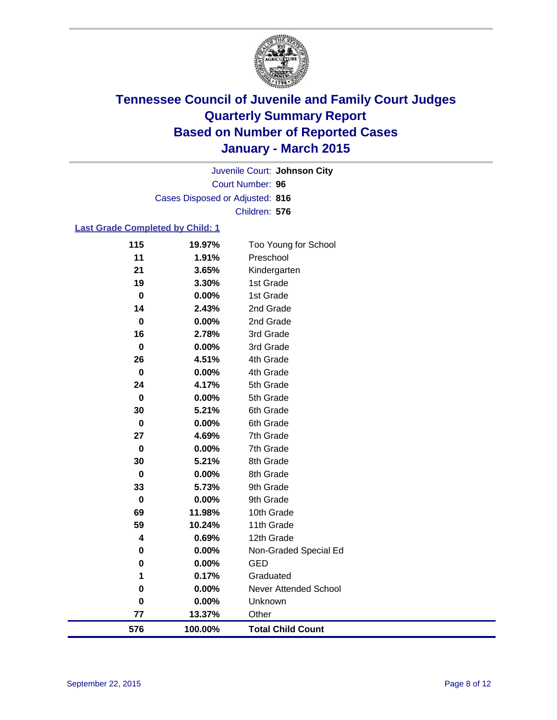

Court Number: **96** Juvenile Court: **Johnson City** Cases Disposed or Adjusted: **816** Children: **576**

### **Last Grade Completed by Child: 1**

| 115         | 19.97%  | Too Young for School     |
|-------------|---------|--------------------------|
| 11          | 1.91%   | Preschool                |
| 21          | 3.65%   | Kindergarten             |
| 19          | 3.30%   | 1st Grade                |
| $\mathbf 0$ | 0.00%   | 1st Grade                |
| 14          | 2.43%   | 2nd Grade                |
| $\mathbf 0$ | 0.00%   | 2nd Grade                |
| 16          | 2.78%   | 3rd Grade                |
| $\bf{0}$    | 0.00%   | 3rd Grade                |
| 26          | 4.51%   | 4th Grade                |
| $\mathbf 0$ | 0.00%   | 4th Grade                |
| 24          | 4.17%   | 5th Grade                |
| $\mathbf 0$ | 0.00%   | 5th Grade                |
| 30          | 5.21%   | 6th Grade                |
| $\pmb{0}$   | 0.00%   | 6th Grade                |
| 27          | 4.69%   | 7th Grade                |
| $\mathbf 0$ | 0.00%   | 7th Grade                |
| 30          | 5.21%   | 8th Grade                |
| $\bf{0}$    | 0.00%   | 8th Grade                |
| 33          | 5.73%   | 9th Grade                |
| $\bf{0}$    | 0.00%   | 9th Grade                |
| 69          | 11.98%  | 10th Grade               |
| 59          | 10.24%  | 11th Grade               |
| 4           | 0.69%   | 12th Grade               |
| 0           | 0.00%   | Non-Graded Special Ed    |
| 0           | 0.00%   | <b>GED</b>               |
| 1           | 0.17%   | Graduated                |
| $\pmb{0}$   | 0.00%   | Never Attended School    |
| $\mathbf 0$ | 0.00%   | Unknown                  |
| 77          | 13.37%  | Other                    |
| 576         | 100.00% | <b>Total Child Count</b> |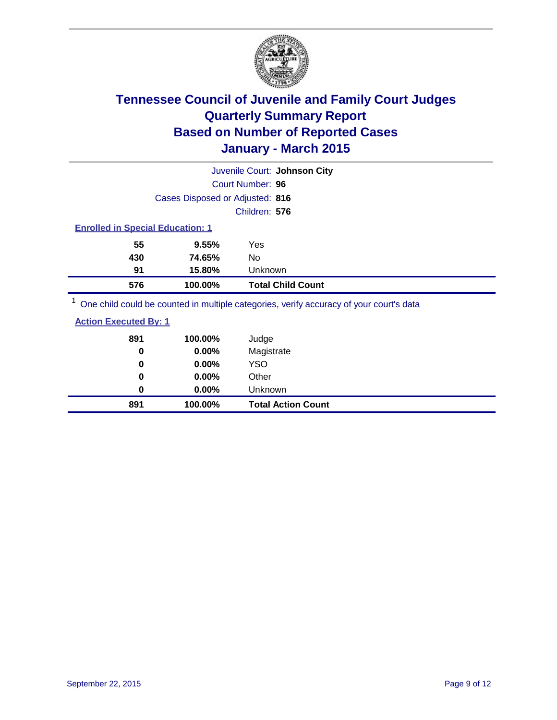

|                                                                                          |                                         | Juvenile Court: Johnson City                                                                                    |  |  |  |
|------------------------------------------------------------------------------------------|-----------------------------------------|-----------------------------------------------------------------------------------------------------------------|--|--|--|
|                                                                                          |                                         | Court Number: 96                                                                                                |  |  |  |
|                                                                                          | Cases Disposed or Adjusted: 816         |                                                                                                                 |  |  |  |
|                                                                                          |                                         | Children: 576                                                                                                   |  |  |  |
|                                                                                          | <b>Enrolled in Special Education: 1</b> |                                                                                                                 |  |  |  |
| 55                                                                                       | 9.55%                                   | Yes                                                                                                             |  |  |  |
| 430                                                                                      | 74.65%                                  | No.                                                                                                             |  |  |  |
| 91                                                                                       | 15.80%                                  | <b>Unknown</b>                                                                                                  |  |  |  |
| 576                                                                                      | 100.00%                                 | <b>Total Child Count</b>                                                                                        |  |  |  |
| $1 -$<br>the contract of the contract of the contract of the contract of the contract of |                                         | the contract of the contract of the contract of the contract of the contract of the contract of the contract of |  |  |  |

One child could be counted in multiple categories, verify accuracy of your court's data

| <b>Action Executed By: 1</b> |  |
|------------------------------|--|
|------------------------------|--|

| 891<br>0 | 100.00%<br>0.00% | Judge<br>Magistrate       |
|----------|------------------|---------------------------|
| 0        | $0.00\%$         | <b>YSO</b>                |
| 0        | $0.00\%$         | Other                     |
| 0        | $0.00\%$         | Unknown                   |
| 891      | 100.00%          | <b>Total Action Count</b> |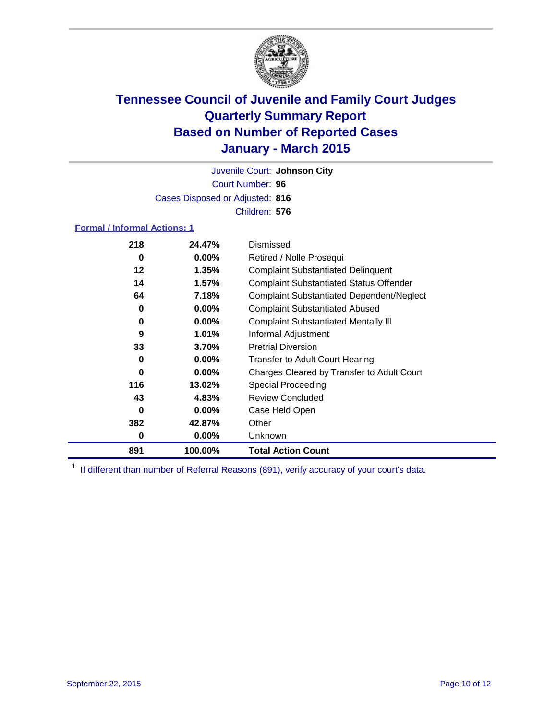

Court Number: **96** Juvenile Court: **Johnson City** Cases Disposed or Adjusted: **816** Children: **576**

#### **Formal / Informal Actions: 1**

| 218     | 24.47%   | Dismissed                                        |
|---------|----------|--------------------------------------------------|
| 0       | $0.00\%$ | Retired / Nolle Prosequi                         |
| $12 \,$ | 1.35%    | <b>Complaint Substantiated Delinquent</b>        |
| 14      | 1.57%    | <b>Complaint Substantiated Status Offender</b>   |
| 64      | 7.18%    | <b>Complaint Substantiated Dependent/Neglect</b> |
| 0       | $0.00\%$ | <b>Complaint Substantiated Abused</b>            |
| 0       | $0.00\%$ | <b>Complaint Substantiated Mentally III</b>      |
| 9       | 1.01%    | Informal Adjustment                              |
| 33      | 3.70%    | <b>Pretrial Diversion</b>                        |
| 0       | $0.00\%$ | <b>Transfer to Adult Court Hearing</b>           |
| 0       | $0.00\%$ | Charges Cleared by Transfer to Adult Court       |
| 116     | 13.02%   | Special Proceeding                               |
| 43      | 4.83%    | <b>Review Concluded</b>                          |
| 0       | $0.00\%$ | Case Held Open                                   |
| 382     | 42.87%   | Other                                            |
| 0       | $0.00\%$ | Unknown                                          |
| 891     | 100.00%  | <b>Total Action Count</b>                        |

<sup>1</sup> If different than number of Referral Reasons (891), verify accuracy of your court's data.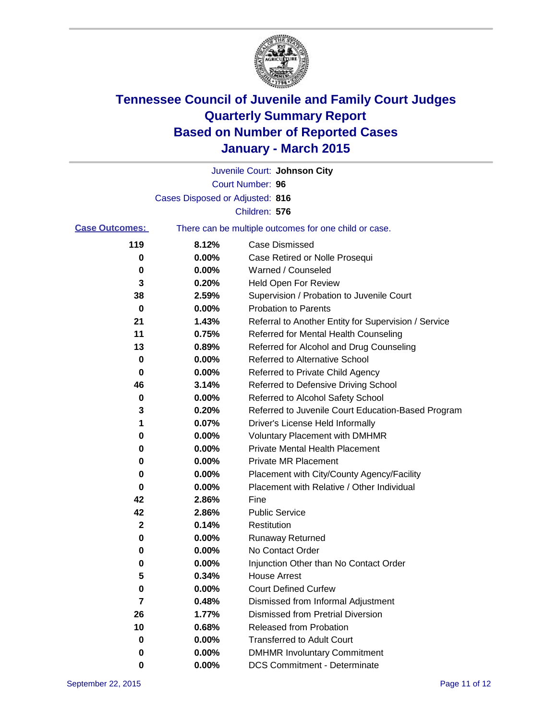

|                                                                                |                                 | Juvenile Court: Johnson City                         |  |
|--------------------------------------------------------------------------------|---------------------------------|------------------------------------------------------|--|
|                                                                                |                                 | Court Number: 96                                     |  |
|                                                                                | Cases Disposed or Adjusted: 816 |                                                      |  |
|                                                                                |                                 | Children: 576                                        |  |
| <b>Case Outcomes:</b><br>There can be multiple outcomes for one child or case. |                                 |                                                      |  |
| 119                                                                            | 8.12%                           | <b>Case Dismissed</b>                                |  |
| 0                                                                              | $0.00\%$                        | Case Retired or Nolle Prosequi                       |  |
| 0                                                                              | 0.00%                           | Warned / Counseled                                   |  |
| 3                                                                              | 0.20%                           | <b>Held Open For Review</b>                          |  |
| 38                                                                             | 2.59%                           | Supervision / Probation to Juvenile Court            |  |
| 0                                                                              | 0.00%                           | <b>Probation to Parents</b>                          |  |
| 21                                                                             | 1.43%                           | Referral to Another Entity for Supervision / Service |  |
| 11                                                                             | 0.75%                           | Referred for Mental Health Counseling                |  |
| 13                                                                             | 0.89%                           | Referred for Alcohol and Drug Counseling             |  |
| 0                                                                              | 0.00%                           | Referred to Alternative School                       |  |
| 0                                                                              | 0.00%                           | Referred to Private Child Agency                     |  |
| 46                                                                             | 3.14%                           | Referred to Defensive Driving School                 |  |
| 0                                                                              | 0.00%                           | Referred to Alcohol Safety School                    |  |
| 3                                                                              | 0.20%                           | Referred to Juvenile Court Education-Based Program   |  |
| 1                                                                              | 0.07%                           | Driver's License Held Informally                     |  |
| 0                                                                              | 0.00%                           | <b>Voluntary Placement with DMHMR</b>                |  |
| 0                                                                              | 0.00%                           | <b>Private Mental Health Placement</b>               |  |
| 0                                                                              | 0.00%                           | <b>Private MR Placement</b>                          |  |
| 0                                                                              | 0.00%                           | Placement with City/County Agency/Facility           |  |
| 0                                                                              | 0.00%                           | Placement with Relative / Other Individual           |  |
| 42                                                                             | 2.86%                           | Fine                                                 |  |
| 42                                                                             | 2.86%                           | <b>Public Service</b>                                |  |
| 2                                                                              | 0.14%                           | Restitution                                          |  |
| 0                                                                              | 0.00%                           | <b>Runaway Returned</b>                              |  |
| 0                                                                              | 0.00%                           | No Contact Order                                     |  |
| 0                                                                              | 0.00%                           | Injunction Other than No Contact Order               |  |
| 5                                                                              | 0.34%                           | House Arrest                                         |  |
| 0                                                                              | 0.00%                           | <b>Court Defined Curfew</b>                          |  |
| 7                                                                              | 0.48%                           | Dismissed from Informal Adjustment                   |  |
| 26                                                                             | 1.77%                           | Dismissed from Pretrial Diversion                    |  |
| 10                                                                             | 0.68%                           | Released from Probation                              |  |
| 0                                                                              | 0.00%                           | <b>Transferred to Adult Court</b>                    |  |
| 0                                                                              | 0.00%                           | <b>DMHMR Involuntary Commitment</b>                  |  |
| 0                                                                              | $0.00\%$                        | <b>DCS Commitment - Determinate</b>                  |  |